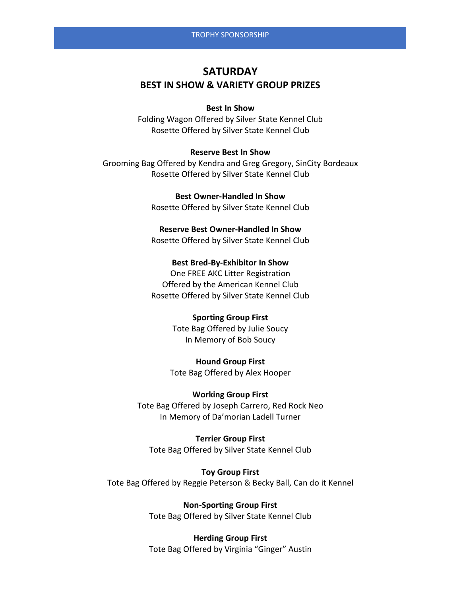# **SATURDAY BEST IN SHOW & VARIETY GROUP PRIZES**

## **Best In Show**

Folding Wagon Offered by Silver State Kennel Club Rosette Offered by Silver State Kennel Club

#### **Reserve Best In Show**

Grooming Bag Offered by Kendra and Greg Gregory, SinCity Bordeaux Rosette Offered by Silver State Kennel Club

> **Best Owner-Handled In Show** Rosette Offered by Silver State Kennel Club

## **Reserve Best Owner-Handled In Show**

Rosette Offered by Silver State Kennel Club

# **Best Bred-By-Exhibitor In Show**

One FREE AKC Litter Registration Offered by the American Kennel Club Rosette Offered by Silver State Kennel Club

## **Sporting Group First**

Tote Bag Offered by Julie Soucy In Memory of Bob Soucy

**Hound Group First** Tote Bag Offered by Alex Hooper

# **Working Group First**

Tote Bag Offered by Joseph Carrero, Red Rock Neo In Memory of Da'morian Ladell Turner

## **Terrier Group First**

Tote Bag Offered by Silver State Kennel Club

**Toy Group First** Tote Bag Offered by Reggie Peterson & Becky Ball, Can do it Kennel

> **Non-Sporting Group First** Tote Bag Offered by Silver State Kennel Club

# **Herding Group First**

Tote Bag Offered by Virginia "Ginger" Austin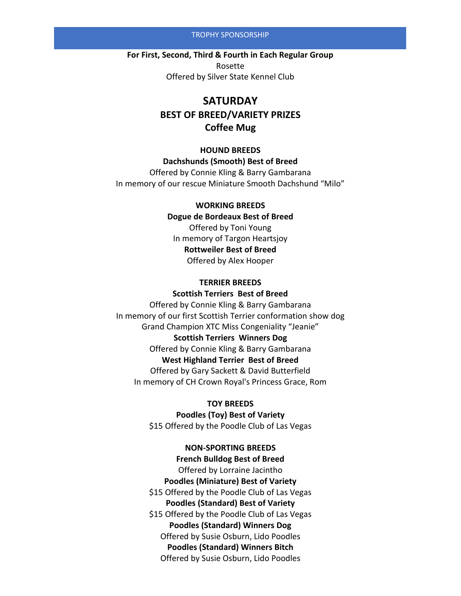#### TROPHY SPONSORSHIP

**For First, Second, Third & Fourth in Each Regular Group** Rosette Offered by Silver State Kennel Club

# **SATURDAY BEST OF BREED/VARIETY PRIZES Coffee Mug**

# **HOUND BREEDS Dachshunds (Smooth) Best of Breed** Offered by Connie Kling & Barry Gambarana

In memory of our rescue Miniature Smooth Dachshund "Milo"

#### **WORKING BREEDS**

# **Dogue de Bordeaux Best of Breed**

Offered by Toni Young In memory of Targon Heartsjoy **Rottweiler Best of Breed** Offered by Alex Hooper

## **TERRIER BREEDS**

# **Scottish Terriers Best of Breed** Offered by Connie Kling & Barry Gambarana In memory of our first Scottish Terrier conformation show dog Grand Champion XTC Miss Congeniality "Jeanie" **Scottish Terriers Winners Dog** Offered by Connie Kling & Barry Gambarana **West Highland Terrier Best of Breed** Offered by Gary Sackett & David Butterfield In memory of CH Crown Royal's Princess Grace, Rom

#### **TOY BREEDS**

**Poodles (Toy) Best of Variety** \$15 Offered by the Poodle Club of Las Vegas

#### **NON-SPORTING BREEDS**

**French Bulldog Best of Breed** Offered by Lorraine Jacintho **Poodles (Miniature) Best of Variety** \$15 Offered by the Poodle Club of Las Vegas **Poodles (Standard) Best of Variety** \$15 Offered by the Poodle Club of Las Vegas **Poodles (Standard) Winners Dog** Offered by Susie Osburn, Lido Poodles **Poodles (Standard) Winners Bitch** Offered by Susie Osburn, Lido Poodles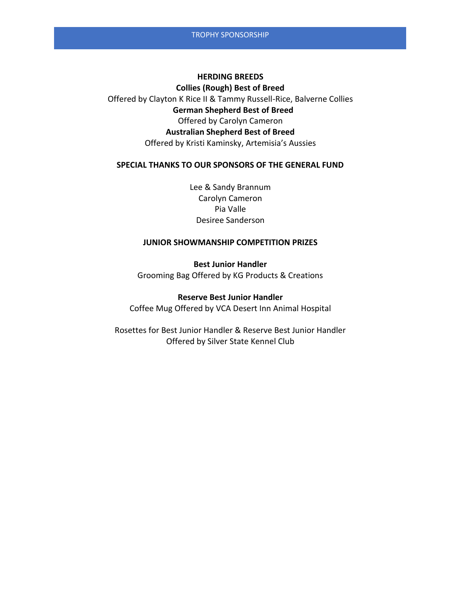#### **HERDING BREEDS**

**Collies (Rough) Best of Breed** Offered by Clayton K Rice II & Tammy Russell-Rice, Balverne Collies **German Shepherd Best of Breed**  Offered by Carolyn Cameron **Australian Shepherd Best of Breed** Offered by Kristi Kaminsky, Artemisia's Aussies

#### **SPECIAL THANKS TO OUR SPONSORS OF THE GENERAL FUND**

Lee & Sandy Brannum Carolyn Cameron Pia Valle Desiree Sanderson

# **JUNIOR SHOWMANSHIP COMPETITION PRIZES**

**Best Junior Handler** Grooming Bag Offered by KG Products & Creations

#### **Reserve Best Junior Handler**

Coffee Mug Offered by VCA Desert Inn Animal Hospital

Rosettes for Best Junior Handler & Reserve Best Junior Handler Offered by Silver State Kennel Club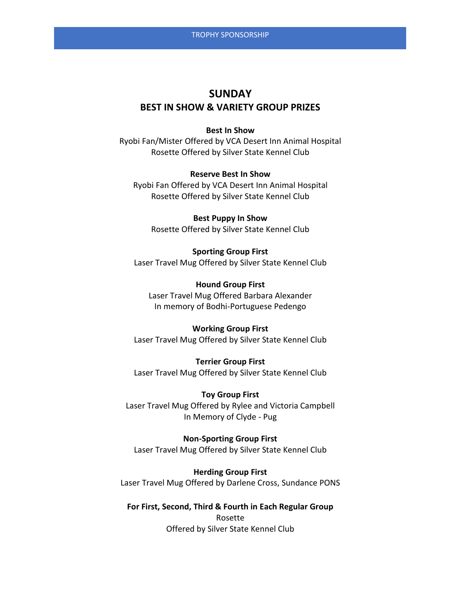# **SUNDAY BEST IN SHOW & VARIETY GROUP PRIZES**

## **Best In Show**

Ryobi Fan/Mister Offered by VCA Desert Inn Animal Hospital Rosette Offered by Silver State Kennel Club

## **Reserve Best In Show**

Ryobi Fan Offered by VCA Desert Inn Animal Hospital Rosette Offered by Silver State Kennel Club

**Best Puppy In Show** Rosette Offered by Silver State Kennel Club

**Sporting Group First** Laser Travel Mug Offered by Silver State Kennel Club

**Hound Group First** Laser Travel Mug Offered Barbara Alexander In memory of Bodhi-Portuguese Pedengo

## **Working Group First**

Laser Travel Mug Offered by Silver State Kennel Club

**Terrier Group First** Laser Travel Mug Offered by Silver State Kennel Club

**Toy Group First** Laser Travel Mug Offered by Rylee and Victoria Campbell In Memory of Clyde - Pug

**Non-Sporting Group First** Laser Travel Mug Offered by Silver State Kennel Club

**Herding Group First** Laser Travel Mug Offered by Darlene Cross, Sundance PONS

## **For First, Second, Third & Fourth in Each Regular Group**

Rosette Offered by Silver State Kennel Club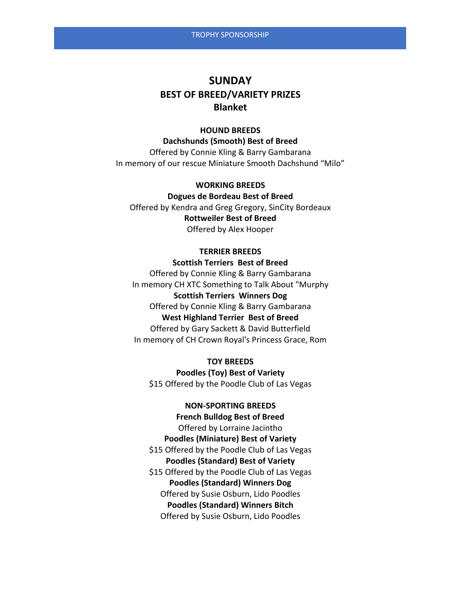# **SUNDAY BEST OF BREED/VARIETY PRIZES Blanket**

#### **HOUND BREEDS**

**Dachshunds (Smooth) Best of Breed**  Offered by Connie Kling & Barry Gambarana In memory of our rescue Miniature Smooth Dachshund "Milo"

**WORKING BREEDS Dogues de Bordeau Best of Breed** Offered by Kendra and Greg Gregory, SinCity Bordeaux **Rottweiler Best of Breed** Offered by Alex Hooper

#### **TERRIER BREEDS**

**Scottish Terriers Best of Breed** Offered by Connie Kling & Barry Gambarana In memory CH XTC Something to Talk About "Murphy **Scottish Terriers Winners Dog** Offered by Connie Kling & Barry Gambarana **West Highland Terrier Best of Breed** Offered by Gary Sackett & David Butterfield In memory of CH Crown Royal's Princess Grace, Rom

**TOY BREEDS Poodles (Toy) Best of Variety** \$15 Offered by the Poodle Club of Las Vegas

## **NON-SPORTING BREEDS**

**French Bulldog Best of Breed** Offered by Lorraine Jacintho **Poodles (Miniature) Best of Variety** \$15 Offered by the Poodle Club of Las Vegas **Poodles (Standard) Best of Variety** \$15 Offered by the Poodle Club of Las Vegas **Poodles (Standard) Winners Dog** Offered by Susie Osburn, Lido Poodles **Poodles (Standard) Winners Bitch** Offered by Susie Osburn, Lido Poodles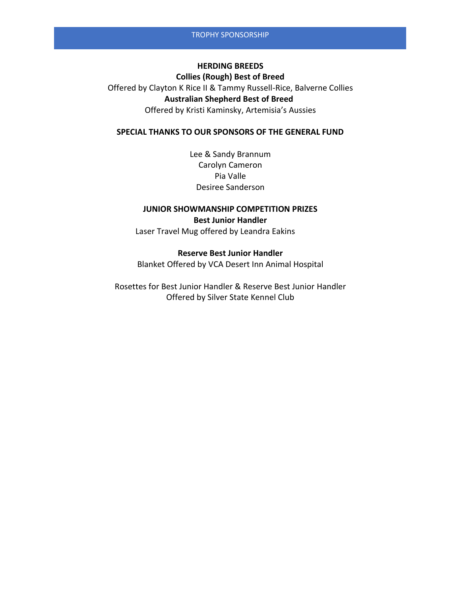# **HERDING BREEDS Collies (Rough) Best of Breed** Offered by Clayton K Rice II & Tammy Russell-Rice, Balverne Collies  **Australian Shepherd Best of Breed** Offered by Kristi Kaminsky, Artemisia's Aussies

## **SPECIAL THANKS TO OUR SPONSORS OF THE GENERAL FUND**

Lee & Sandy Brannum Carolyn Cameron Pia Valle Desiree Sanderson

## **JUNIOR SHOWMANSHIP COMPETITION PRIZES Best Junior Handler**

Laser Travel Mug offered by Leandra Eakins

#### **Reserve Best Junior Handler**

Blanket Offered by VCA Desert Inn Animal Hospital

Rosettes for Best Junior Handler & Reserve Best Junior Handler Offered by Silver State Kennel Club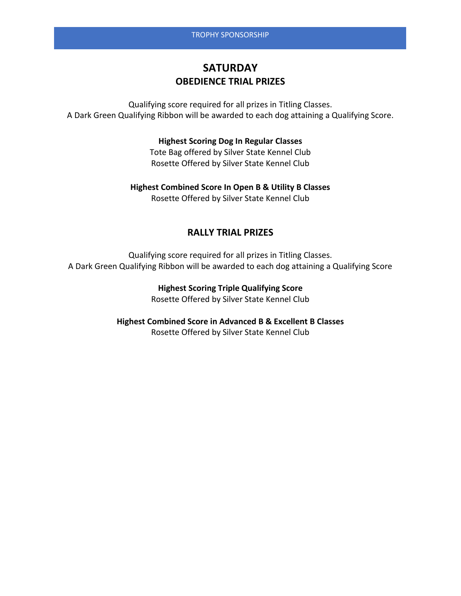# **SATURDAY OBEDIENCE TRIAL PRIZES**

Qualifying score required for all prizes in Titling Classes. A Dark Green Qualifying Ribbon will be awarded to each dog attaining a Qualifying Score.

# **Highest Scoring Dog In Regular Classes**

Tote Bag offered by Silver State Kennel Club Rosette Offered by Silver State Kennel Club

**Highest Combined Score In Open B & Utility B Classes** Rosette Offered by Silver State Kennel Club

# **RALLY TRIAL PRIZES**

Qualifying score required for all prizes in Titling Classes. A Dark Green Qualifying Ribbon will be awarded to each dog attaining a Qualifying Score

> **Highest Scoring Triple Qualifying Score** Rosette Offered by Silver State Kennel Club

**Highest Combined Score in Advanced B & Excellent B Classes** Rosette Offered by Silver State Kennel Club